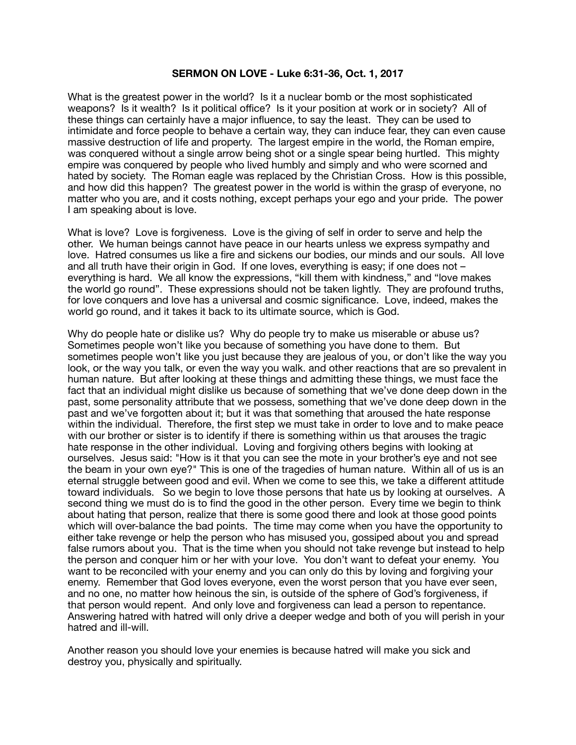## **SERMON ON LOVE - Luke 6:31-36, Oct. 1, 2017**

What is the greatest power in the world? Is it a nuclear bomb or the most sophisticated weapons? Is it wealth? Is it political office? Is it your position at work or in society? All of these things can certainly have a major influence, to say the least. They can be used to intimidate and force people to behave a certain way, they can induce fear, they can even cause massive destruction of life and property. The largest empire in the world, the Roman empire, was conquered without a single arrow being shot or a single spear being hurtled. This mighty empire was conquered by people who lived humbly and simply and who were scorned and hated by society. The Roman eagle was replaced by the Christian Cross. How is this possible, and how did this happen? The greatest power in the world is within the grasp of everyone, no matter who you are, and it costs nothing, except perhaps your ego and your pride. The power I am speaking about is love.

What is love? Love is forgiveness. Love is the giving of self in order to serve and help the other. We human beings cannot have peace in our hearts unless we express sympathy and love. Hatred consumes us like a fire and sickens our bodies, our minds and our souls. All love and all truth have their origin in God. If one loves, everything is easy; if one does not – everything is hard. We all know the expressions, "kill them with kindness," and "love makes the world go round". These expressions should not be taken lightly. They are profound truths, for love conquers and love has a universal and cosmic significance. Love, indeed, makes the world go round, and it takes it back to its ultimate source, which is God.

Why do people hate or dislike us? Why do people try to make us miserable or abuse us? Sometimes people won't like you because of something you have done to them. But sometimes people won't like you just because they are jealous of you, or don't like the way you look, or the way you talk, or even the way you walk. and other reactions that are so prevalent in human nature. But after looking at these things and admitting these things, we must face the fact that an individual might dislike us because of something that we've done deep down in the past, some personality attribute that we possess, something that we've done deep down in the past and we've forgotten about it; but it was that something that aroused the hate response within the individual. Therefore, the first step we must take in order to love and to make peace with our brother or sister is to identify if there is something within us that arouses the tragic hate response in the other individual. Loving and forgiving others begins with looking at ourselves. Jesus said: "How is it that you can see the mote in your brother's eye and not see the beam in your own eye?" This is one of the tragedies of human nature. Within all of us is an eternal struggle between good and evil. When we come to see this, we take a different attitude toward individuals. So we begin to love those persons that hate us by looking at ourselves. A second thing we must do is to find the good in the other person. Every time we begin to think about hating that person, realize that there is some good there and look at those good points which will over-balance the bad points. The time may come when you have the opportunity to either take revenge or help the person who has misused you, gossiped about you and spread false rumors about you. That is the time when you should not take revenge but instead to help the person and conquer him or her with your love. You don't want to defeat your enemy. You want to be reconciled with your enemy and you can only do this by loving and forgiving your enemy. Remember that God loves everyone, even the worst person that you have ever seen, and no one, no matter how heinous the sin, is outside of the sphere of God's forgiveness, if that person would repent. And only love and forgiveness can lead a person to repentance. Answering hatred with hatred will only drive a deeper wedge and both of you will perish in your hatred and ill-will.

Another reason you should love your enemies is because hatred will make you sick and destroy you, physically and spiritually.